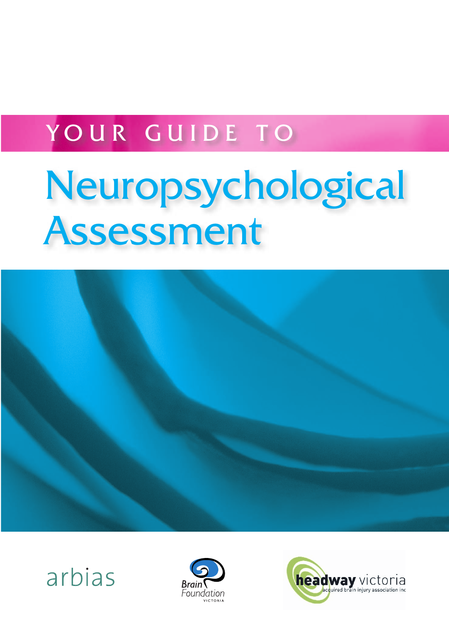## YOUR GUIDE TO

# Neuropsychological Assessment







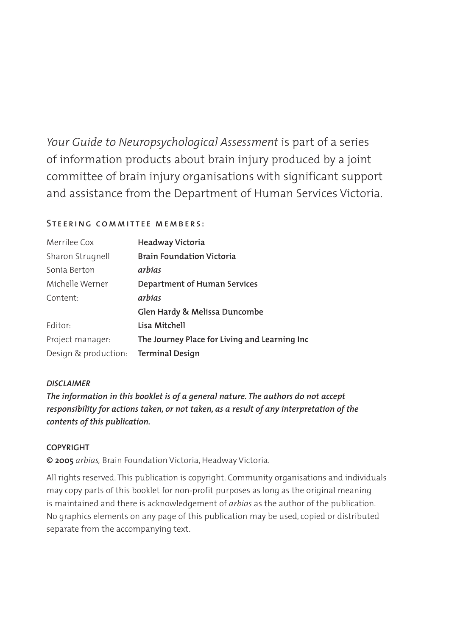*Your Guide to Neuropsychological Assessment* is part of a series of information products about brain injury produced by a joint committee of brain injury organisations with significant support and assistance from the Department of Human Services Victoria.

#### STEERING COMMITTEE MEMBERS:

| Merrilee Cox         | Headway Victoria                              |
|----------------------|-----------------------------------------------|
| Sharon Strugnell     | <b>Brain Foundation Victoria</b>              |
| Sonia Berton         | arbias                                        |
| Michelle Werner      | Department of Human Services                  |
| Content:             | arbias                                        |
|                      | Glen Hardy & Melissa Duncombe                 |
| Editor:              | Lisa Mitchell                                 |
| Project manager:     | The Journey Place for Living and Learning Inc |
| Design & production: | Terminal Design                               |

#### *DISCLAIMER*

*The information in this booklet is of a general nature. The authors do not accept responsibility for actions taken, or not taken, as a result of any interpretation of the contents of this publication.*

#### **COPYRIGHT**

**© 2005** *arbias,* Brain Foundation Victoria, Headway Victoria.

All rights reserved. This publication is copyright. Community organisations and individuals may copy parts of this booklet for non-profit purposes as long as the original meaning is maintained and there is acknowledgement of *arbias* as the author of the publication. No graphics elements on any page of this publication may be used, copied or distributed separate from the accompanying text.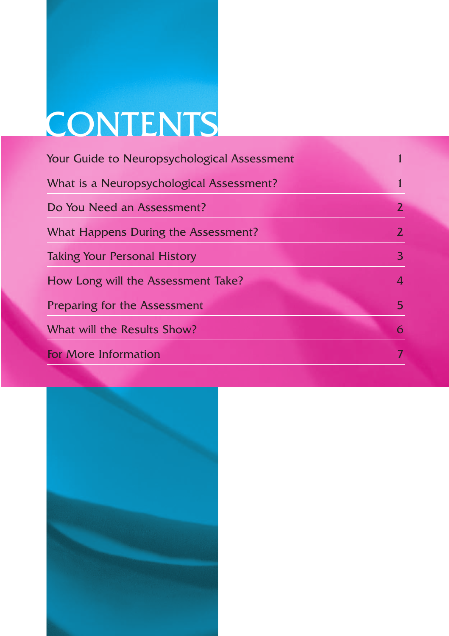## **CONTENTS**

| Your Guide to Neuropsychological Assessment |   |
|---------------------------------------------|---|
| What is a Neuropsychological Assessment?    | 1 |
| Do You Need an Assessment?                  | 2 |
| What Happens During the Assessment?         | 2 |
| <b>Taking Your Personal History</b>         | 3 |
| How Long will the Assessment Take?          | 4 |
| <b>Preparing for the Assessment</b>         | 5 |
| What will the Results Show?                 | 6 |
| For More Information                        | 7 |

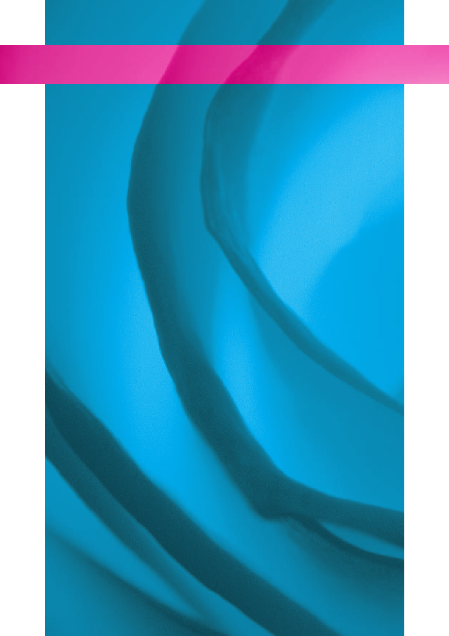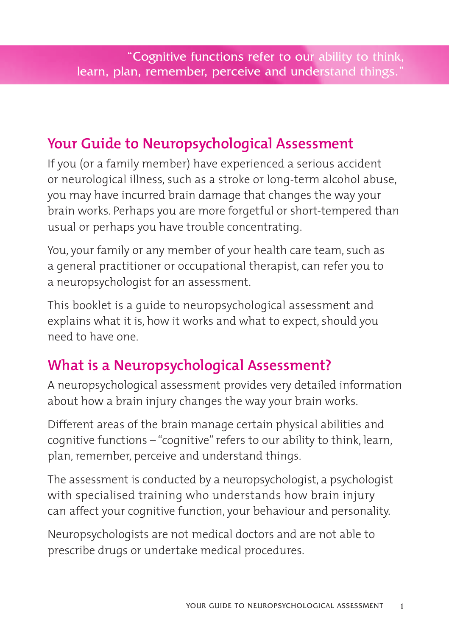#### **Your Guide to Neuropsychological Assessment**

If you (or a family member) have experienced a serious accident or neurological illness, such as a stroke or long-term alcohol abuse, you may have incurred brain damage that changes the way your brain works. Perhaps you are more forgetful or short-tempered than usual or perhaps you have trouble concentrating.

You, your family or any member of your health care team, such as a general practitioner or occupational therapist, can refer you to a neuropsychologist for an assessment.

This booklet is a guide to neuropsychological assessment and explains what it is, how it works and what to expect, should you need to have one.

## **What is a Neuropsychological Assessment?**

A neuropsychological assessment provides very detailed information about how a brain injury changes the way your brain works.

Different areas of the brain manage certain physical abilities and cognitive functions – "cognitive" refers to our ability to think, learn, plan, remember, perceive and understand things.

The assessment is conducted by a neuropsychologist, a psychologist with specialised training who understands how brain injury can affect your cognitive function, your behaviour and personality.

Neuropsychologists are not medical doctors and are not able to prescribe drugs or undertake medical procedures.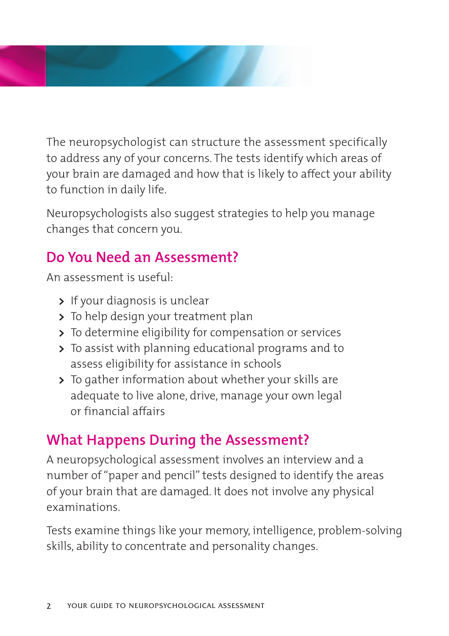

The neuropsychologist can structure the assessment specifically to address any of your concerns. The tests identify which areas of your brain are damaged and how that is likely to affect your ability to function in daily life.

Neuropsychologists also suggest strategies to help you manage changes that concern you.

### **Do You Need an Assessment?**

An assessment is useful:

- **>** If your diagnosis is unclear
- **>** To help design your treatment plan
- **>** To determine eligibility for compensation or services
- **>** To assist with planning educational programs and to assess eligibility for assistance in schools
- **>** To gather information about whether your skills are adequate to live alone, drive, manage your own legal or financial affairs

## **What Happens During the Assessment?**

A neuropsychological assessment involves an interview and a number of "paper and pencil" tests designed to identify the areas of your brain that are damaged. It does not involve any physical examinations.

Tests examine things like your memory, intelligence, problem-solving skills, ability to concentrate and personality changes.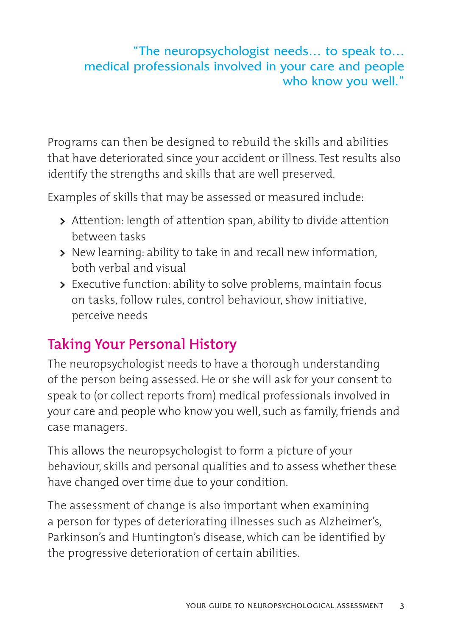#### "The neuropsychologist needs… to speak to… medical professionals involved in your care and people who know you well."

Programs can then be designed to rebuild the skills and abilities that have deteriorated since your accident or illness. Test results also identify the strengths and skills that are well preserved.

Examples of skills that may be assessed or measured include:

- **>** Attention: length of attention span, ability to divide attention between tasks
- **>** New learning: ability to take in and recall new information, both verbal and visual
- **>** Executive function: ability to solve problems, maintain focus on tasks, follow rules, control behaviour, show initiative, perceive needs

## **Taking Your Personal History**

The neuropsychologist needs to have a thorough understanding of the person being assessed. He or she will ask for your consent to speak to (or collect reports from) medical professionals involved in your care and people who know you well, such as family, friends and case managers.

This allows the neuropsychologist to form a picture of your behaviour, skills and personal qualities and to assess whether these have changed over time due to your condition.

The assessment of change is also important when examining a person for types of deteriorating illnesses such as Alzheimer's, Parkinson's and Huntington's disease, which can be identified by the progressive deterioration of certain abilities.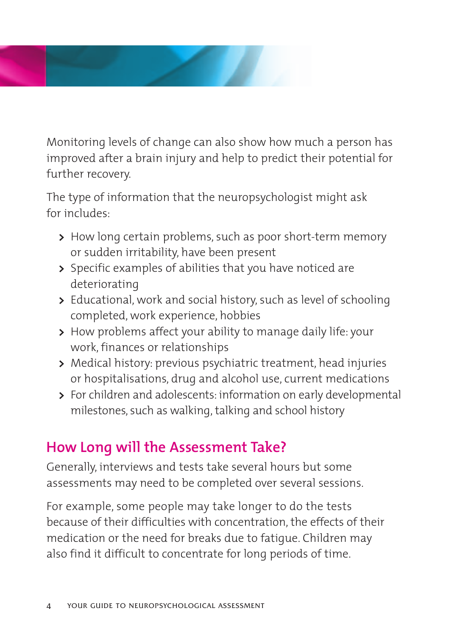Monitoring levels of change can also show how much a person has improved after a brain injury and help to predict their potential for further recovery.

The type of information that the neuropsychologist might ask for includes:

- **>** How long certain problems, such as poor short-term memory or sudden irritability, have been present
- **>** Specific examples of abilities that you have noticed are deteriorating
- **>** Educational, work and social history, such as level of schooling completed, work experience, hobbies
- **>** How problems affect your ability to manage daily life: your work, finances or relationships
- **>** Medical history: previous psychiatric treatment, head injuries or hospitalisations, drug and alcohol use, current medications
- **>** For children and adolescents: information on early developmental milestones, such as walking, talking and school history

#### **How Long will the Assessment Take?**

Generally, interviews and tests take several hours but some assessments may need to be completed over several sessions.

For example, some people may take longer to do the tests because of their difficulties with concentration, the effects of their medication or the need for breaks due to fatigue. Children may also find it difficult to concentrate for long periods of time.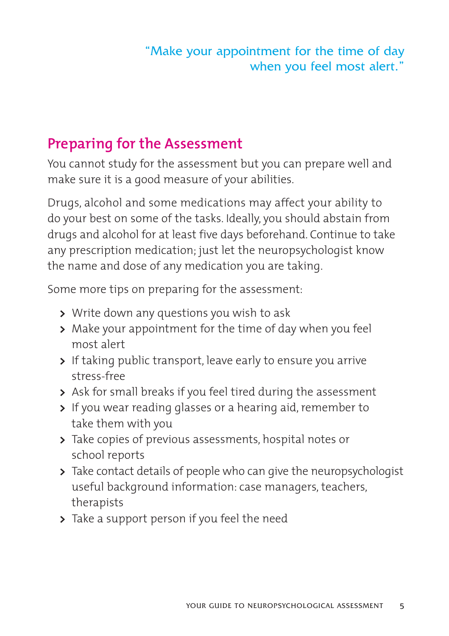### **Preparing for the Assessment**

You cannot study for the assessment but you can prepare well and make sure it is a good measure of your abilities.

Drugs, alcohol and some medications may affect your ability to do your best on some of the tasks. Ideally, you should abstain from drugs and alcohol for at least five days beforehand. Continue to take any prescription medication; just let the neuropsychologist know the name and dose of any medication you are taking.

Some more tips on preparing for the assessment:

- **>** Write down any questions you wish to ask
- **>** Make your appointment for the time of day when you feel most alert
- **>** If taking public transport, leave early to ensure you arrive stress-free
- **>** Ask for small breaks if you feel tired during the assessment
- **>** If you wear reading glasses or a hearing aid, remember to take them with you
- **>** Take copies of previous assessments, hospital notes or school reports
- **>** Take contact details of people who can give the neuropsychologist useful background information: case managers, teachers, therapists
- **>** Take a support person if you feel the need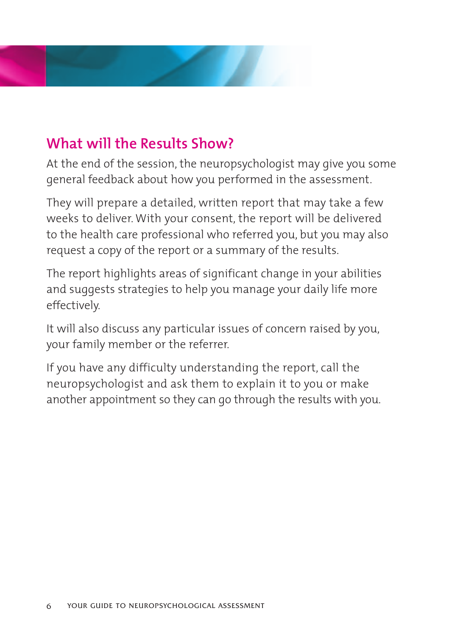

### **What will the Results Show?**

At the end of the session, the neuropsychologist may give you some general feedback about how you performed in the assessment.

They will prepare a detailed, written report that may take a few weeks to deliver. With your consent, the report will be delivered to the health care professional who referred you, but you may also request a copy of the report or a summary of the results.

The report highlights areas of significant change in your abilities and suggests strategies to help you manage your daily life more effectively.

It will also discuss any particular issues of concern raised by you, your family member or the referrer.

If you have any difficulty understanding the report, call the neuropsychologist and ask them to explain it to you or make another appointment so they can go through the results with you.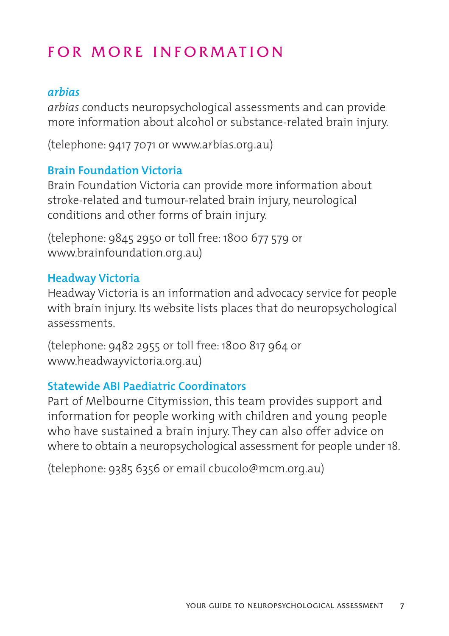## FOR MORE INFORMATION

#### *arbias*

*arbias* conducts neuropsychological assessments and can provide more information about alcohol or substance-related brain injury.

(telephone: 9417 7071 or www.arbias.org.au)

#### **Brain Foundation Victoria**

Brain Foundation Victoria can provide more information about stroke-related and tumour-related brain injury, neurological conditions and other forms of brain injury.

(telephone: 9845 2950 or toll free: 1800 677 579 or www.brainfoundation.org.au)

#### **Headway Victoria**

Headway Victoria is an information and advocacy service for people with brain injury. Its website lists places that do neuropsychological assessments.

(telephone: 9482 2955 or toll free: 1800 817 964 or www.headwayvictoria.org.au)

#### **Statewide ABI Paediatric Coordinators**

Part of Melbourne Citymission, this team provides support and information for people working with children and young people who have sustained a brain injury. They can also offer advice on where to obtain a neuropsychological assessment for people under 18.

(telephone: 9385 6356 or email cbucolo@mcm.org.au)